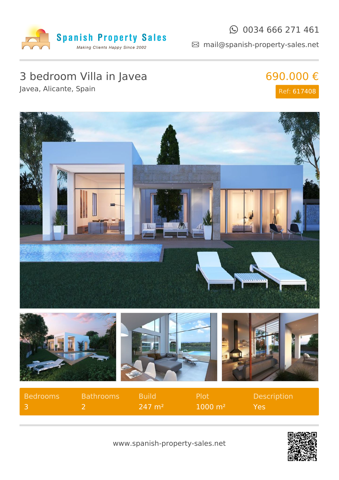

#### $\odot$  0034 666 271 461

mail@spanish-property-sales.net

# 3 bedroom Villa in Javea

Javea, Alicante, Spain

### 690.000 € Ref: 617408



| Bedrooms | <b>Bathrooms</b> | - Build               | -Plot              | <b>Description</b> |
|----------|------------------|-----------------------|--------------------|--------------------|
| - 3      |                  | $247 \; \mathrm{m}^2$ | $1000 \text{ m}^2$ | YAS                |

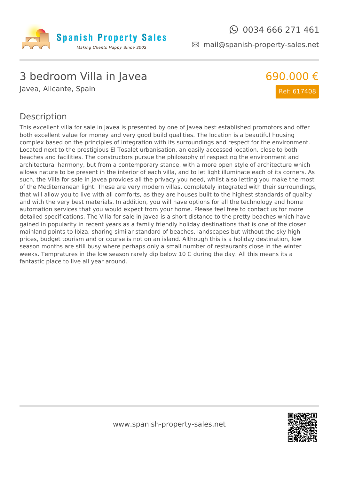

690.000 €

Ref: 617408

mail@spanish-property-sales.net

## 3 bedroom Villa in Javea

Javea, Alicante, Spain

#### Description

This excellent villa for sale in Javea is presented by one of Javea best established promotors and offer both excellent value for money and very good build qualities. The location is a beautiful housing complex based on the principles of integration with its surroundings and respect for the environment. Located next to the prestigious El Tosalet urbanisation, an easily accessed location, close to both beaches and facilities. The constructors pursue the philosophy of respecting the environment and architectural harmony, but from a contemporary stance, with a more open style of architecture which allows nature to be present in the interior of each villa, and to let light illuminate each of its corners. As such, the Villa for sale in Javea provides all the privacy you need, whilst also letting you make the most of the Mediterranean light. These are very modern villas, completely integrated with their surroundings, that will allow you to live with all comforts, as they are houses built to the highest standards of quality and with the very best materials. In addition, you will have options for all the technology and home automation services that you would expect from your home. Please feel free to contact us for more detailed specifications. The Villa for sale in Javea is a short distance to the pretty beaches which have gained in popularity in recent years as a family friendly holiday destinations that is one of the closer mainland points to Ibiza, sharing similar standard of beaches, landscapes but without the sky high prices, budget tourism and or course is not on an island. Although this is a holiday destination, low season months are still busy where perhaps only a small number of restaurants close in the winter weeks. Tempratures in the low season rarely dip below 10 C during the day. All this means its a fantastic place to live all year around.